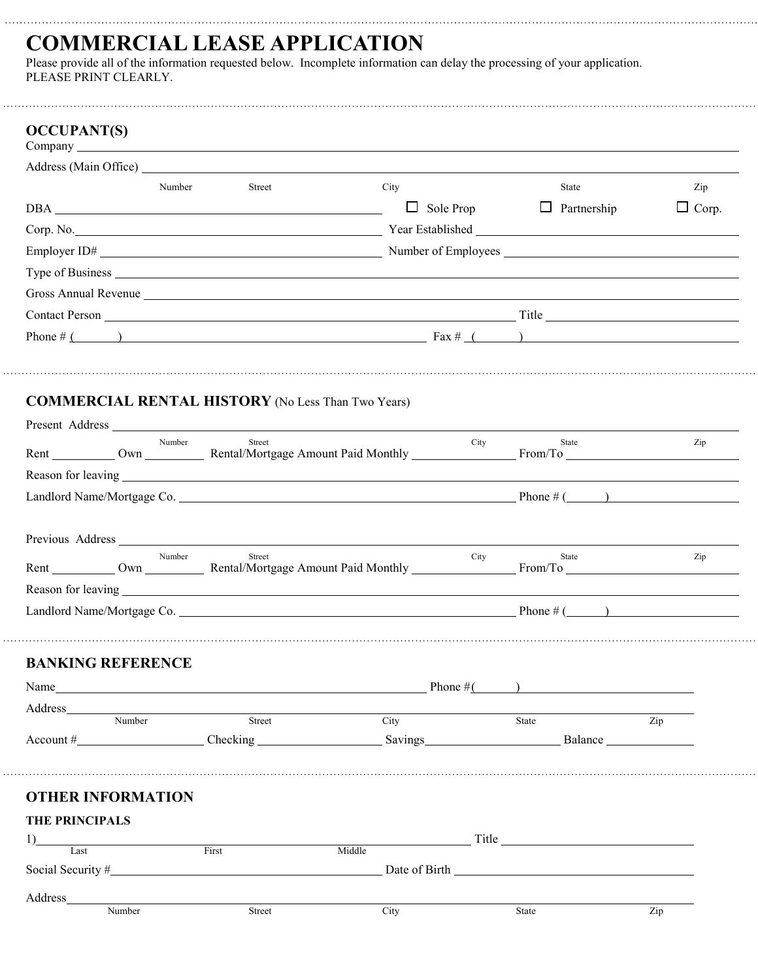## **COMMERCIAL LEASE APPLICATION**

Please provide all of the information requested below. Incomplete information can delay the processing of your application. PLEASE PRINT CLEARLY.

|                                                                                                                                                                                                                               | Number | Street        | City   |                  | State                                                                                                                                                                                                                               | Zip          |
|-------------------------------------------------------------------------------------------------------------------------------------------------------------------------------------------------------------------------------|--------|---------------|--------|------------------|-------------------------------------------------------------------------------------------------------------------------------------------------------------------------------------------------------------------------------------|--------------|
|                                                                                                                                                                                                                               |        |               |        | $\Box$ Sole Prop | $\Box$ Partnership                                                                                                                                                                                                                  | $\Box$ Corp. |
|                                                                                                                                                                                                                               |        |               |        |                  | Corp. No. 2008. Corp. 2008. The Corp. No. 2008. The Corp. No. 2008. The Corp. No. 2008. The Corp. No. 2008. The Corp. 2008. The Corp. 2008. The Corp. 2008. The Corp. 2008. The Corp. 2008. The Corp. 2008. The Corp. 2008. Th      |              |
|                                                                                                                                                                                                                               |        |               |        |                  |                                                                                                                                                                                                                                     |              |
|                                                                                                                                                                                                                               |        |               |        |                  | Type of Business <u>experience</u> and the contract of the contract of the contract of the contract of the contract of the contract of the contract of the contract of the contract of the contract of the contract of the contract |              |
| Gross Annual Revenue New York Changes and The Contract of the Changes Annual Revenue New York Changes and The Changes and The Changes and The Changes and The Changes and The Changes and The Changes and The Changes and The |        |               |        |                  |                                                                                                                                                                                                                                     |              |
|                                                                                                                                                                                                                               |        |               |        |                  |                                                                                                                                                                                                                                     |              |
|                                                                                                                                                                                                                               |        |               |        |                  | Phone # $($ $)$                                                                                                                                                                                                                     |              |
|                                                                                                                                                                                                                               |        |               |        |                  |                                                                                                                                                                                                                                     |              |
| <b>COMMERCIAL RENTAL HISTORY</b> (No Less Than Two Years)                                                                                                                                                                     |        |               |        |                  |                                                                                                                                                                                                                                     |              |
|                                                                                                                                                                                                                               |        |               |        |                  |                                                                                                                                                                                                                                     |              |
|                                                                                                                                                                                                                               | Number | Street        |        | City             | State                                                                                                                                                                                                                               | Zip          |
|                                                                                                                                                                                                                               |        |               |        |                  |                                                                                                                                                                                                                                     |              |
|                                                                                                                                                                                                                               |        |               |        |                  | Landlord Name/Mortgage Co.                                                                                                                                                                                                          |              |
|                                                                                                                                                                                                                               |        |               |        |                  |                                                                                                                                                                                                                                     |              |
| Previous Address New York Contract to the Marian Contract of the Marian Contract of the Marian Contract of the Marian Contract of the Marian Contract of the Marian Contract of the Marian Contract of the Marian Contract of |        |               |        |                  |                                                                                                                                                                                                                                     |              |
|                                                                                                                                                                                                                               | Number | Street        |        | City             | State                                                                                                                                                                                                                               | Zip          |
|                                                                                                                                                                                                                               |        |               |        |                  |                                                                                                                                                                                                                                     |              |
|                                                                                                                                                                                                                               |        |               |        |                  |                                                                                                                                                                                                                                     |              |
|                                                                                                                                                                                                                               |        |               |        |                  |                                                                                                                                                                                                                                     |              |
| <b>BANKING REFERENCE</b>                                                                                                                                                                                                      |        |               |        |                  |                                                                                                                                                                                                                                     |              |
|                                                                                                                                                                                                                               |        |               |        |                  | Name Phone $\#($                                                                                                                                                                                                                    |              |
|                                                                                                                                                                                                                               |        |               |        |                  |                                                                                                                                                                                                                                     |              |
| Address                                                                                                                                                                                                                       |        | <u>Street</u> | City   |                  | $\overline{Zip}$<br>State                                                                                                                                                                                                           |              |
| Number                                                                                                                                                                                                                        |        |               |        |                  |                                                                                                                                                                                                                                     |              |
|                                                                                                                                                                                                                               |        |               |        |                  |                                                                                                                                                                                                                                     |              |
|                                                                                                                                                                                                                               |        |               |        |                  |                                                                                                                                                                                                                                     |              |
| <b>OTHER INFORMATION</b>                                                                                                                                                                                                      |        |               |        |                  |                                                                                                                                                                                                                                     |              |
| <b>THE PRINCIPALS</b>                                                                                                                                                                                                         |        |               |        |                  |                                                                                                                                                                                                                                     |              |
| 1) Last First                                                                                                                                                                                                                 |        |               | Middle |                  | <u>Title</u> Title <b>Example 2014</b>                                                                                                                                                                                              |              |
| Social Security $#$                                                                                                                                                                                                           |        |               |        |                  |                                                                                                                                                                                                                                     |              |